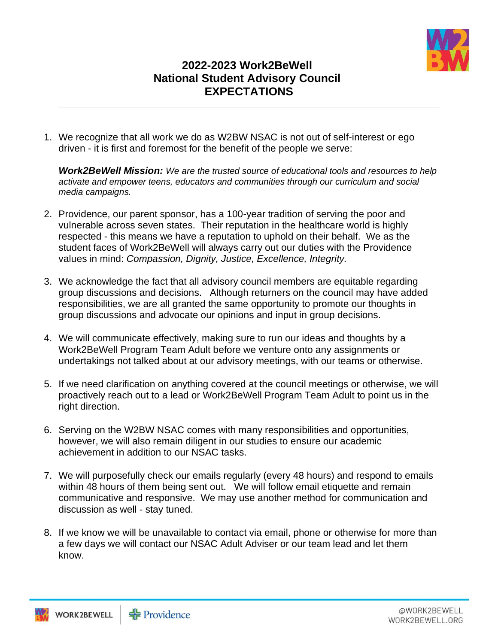

## **2022-2023 Work2BeWell National Student Advisory Council EXPECTATIONS**

1. We recognize that all work we do as W2BW NSAC is not out of self-interest or ego driven - it is first and foremost for the benefit of the people we serve:

*Work2BeWell Mission: We are the trusted source of educational tools and resources to help activate and empower teens, educators and communities through our curriculum and social media campaigns.* 

- 2. Providence, our parent sponsor, has a 100-year tradition of serving the poor and vulnerable across seven states. Their reputation in the healthcare world is highly respected - this means we have a reputation to uphold on their behalf. We as the student faces of Work2BeWell will always carry out our duties with the Providence values in mind: *Compassion, Dignity, Justice, Excellence, Integrity.*
- 3. We acknowledge the fact that all advisory council members are equitable regarding group discussions and decisions. Although returners on the council may have added responsibilities, we are all granted the same opportunity to promote our thoughts in group discussions and advocate our opinions and input in group decisions.
- 4. We will communicate effectively, making sure to run our ideas and thoughts by a Work2BeWell Program Team Adult before we venture onto any assignments or undertakings not talked about at our advisory meetings, with our teams or otherwise.
- 5. If we need clarification on anything covered at the council meetings or otherwise, we will proactively reach out to a lead or Work2BeWell Program Team Adult to point us in the right direction.
- 6. Serving on the W2BW NSAC comes with many responsibilities and opportunities, however, we will also remain diligent in our studies to ensure our academic achievement in addition to our NSAC tasks.
- 7. We will purposefully check our emails regularly (every 48 hours) and respond to emails within 48 hours of them being sent out. We will follow email etiquette and remain communicative and responsive. We may use another method for communication and discussion as well - stay tuned.
- 8. If we know we will be unavailable to contact via email, phone or otherwise for more than a few days we will contact our NSAC Adult Adviser or our team lead and let them know.